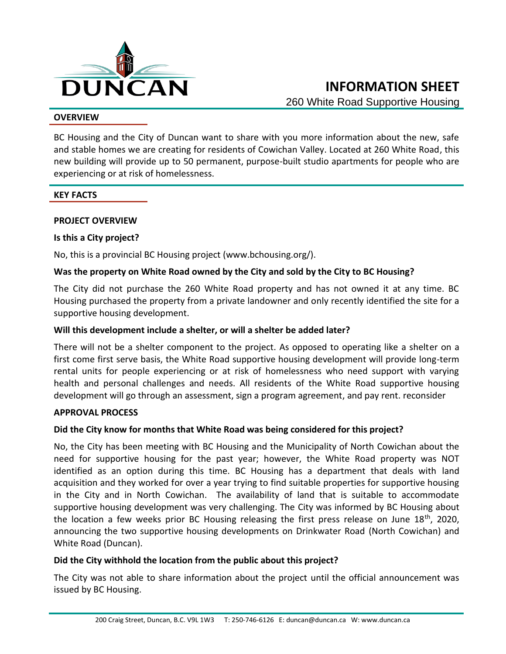

### **OVERVIEW**

BC Housing and the City of Duncan want to share with you more information about the new, safe and stable homes we are creating for residents of Cowichan Valley. Located at 260 White Road, this new building will provide up to 50 permanent, purpose-built studio apartments for people who are experiencing or at risk of homelessness.

### **KEY FACTS**

### **PROJECT OVERVIEW**

### **Is this a City project?**

No, this is a provincial BC Housing project (www.bchousing.org/).

### **Was the property on White Road owned by the City and sold by the City to BC Housing?**

The City did not purchase the 260 White Road property and has not owned it at any time. BC Housing purchased the property from a private landowner and only recently identified the site for a supportive housing development.

### **Will this development include a shelter, or will a shelter be added later?**

There will not be a shelter component to the project. As opposed to operating like a shelter on a first come first serve basis, the White Road supportive housing development will provide long-term rental units for people experiencing or at risk of homelessness who need support with varying health and personal challenges and needs. All residents of the White Road supportive housing development will go through an assessment, sign a program agreement, and pay rent. reconsider

### **APPROVAL PROCESS**

### **Did the City know for months that White Road was being considered for this project?**

No, the City has been meeting with BC Housing and the Municipality of North Cowichan about the need for supportive housing for the past year; however, the White Road property was NOT identified as an option during this time. BC Housing has a department that deals with land acquisition and they worked for over a year trying to find suitable properties for supportive housing in the City and in North Cowichan. The availability of land that is suitable to accommodate supportive housing development was very challenging. The City was informed by BC Housing about the location a few weeks prior BC Housing releasing the first press release on June  $18<sup>th</sup>$ , 2020, announcing the two supportive housing developments on Drinkwater Road (North Cowichan) and White Road (Duncan).

### **Did the City withhold the location from the public about this project?**

The City was not able to share information about the project until the official announcement was issued by BC Housing.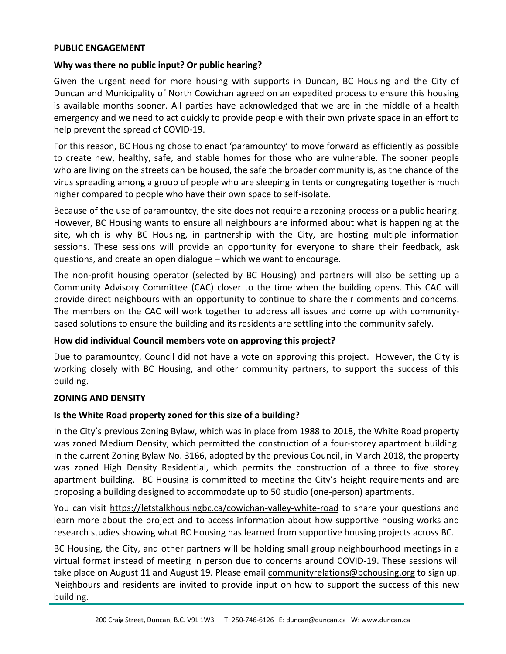#### **PUBLIC ENGAGEMENT**

### **Why was there no public input? Or public hearing?**

Given the urgent need for more housing with supports in Duncan, BC Housing and the City of Duncan and Municipality of North Cowichan agreed on an expedited process to ensure this housing is available months sooner. All parties have acknowledged that we are in the middle of a health emergency and we need to act quickly to provide people with their own private space in an effort to help prevent the spread of COVID-19.

For this reason, BC Housing chose to enact 'paramountcy' to move forward as efficiently as possible to create new, healthy, safe, and stable homes for those who are vulnerable. The sooner people who are living on the streets can be housed, the safe the broader community is, as the chance of the virus spreading among a group of people who are sleeping in tents or congregating together is much higher compared to people who have their own space to self-isolate.

Because of the use of paramountcy, the site does not require a rezoning process or a public hearing. However, BC Housing wants to ensure all neighbours are informed about what is happening at the site, which is why BC Housing, in partnership with the City, are hosting multiple information sessions. These sessions will provide an opportunity for everyone to share their feedback, ask questions, and create an open dialogue – which we want to encourage.

The non-profit housing operator (selected by BC Housing) and partners will also be setting up a Community Advisory Committee (CAC) closer to the time when the building opens. This CAC will provide direct neighbours with an opportunity to continue to share their comments and concerns. The members on the CAC will work together to address all issues and come up with communitybased solutions to ensure the building and its residents are settling into the community safely.

### **How did individual Council members vote on approving this project?**

Due to paramountcy, Council did not have a vote on approving this project. However, the City is working closely with BC Housing, and other community partners, to support the success of this building.

#### **ZONING AND DENSITY**

### **Is the White Road property zoned for this size of a building?**

In the City's previous Zoning Bylaw, which was in place from 1988 to 2018, the White Road property was zoned Medium Density, which permitted the construction of a four-storey apartment building. In the current Zoning Bylaw No. 3166, adopted by the previous Council, in March 2018, the property was zoned High Density Residential, which permits the construction of a three to five storey apartment building. BC Housing is committed to meeting the City's height requirements and are proposing a building designed to accommodate up to 50 studio (one-person) apartments.

You can visit https://letstalkhousingbc.ca/cowichan-valley-white-road to share your questions and learn more about the project and to access information about how supportive housing works and research studies showing what BC Housing has learned from supportive housing projects across BC.

BC Housing, the City, and other partners will be holding small group neighbourhood meetings in a virtual format instead of meeting in person due to concerns around COVID-19. These sessions will take place on August 11 and August 19. Please email communityrelations@bchousing.org to sign up. Neighbours and residents are invited to provide input on how to support the success of this new building.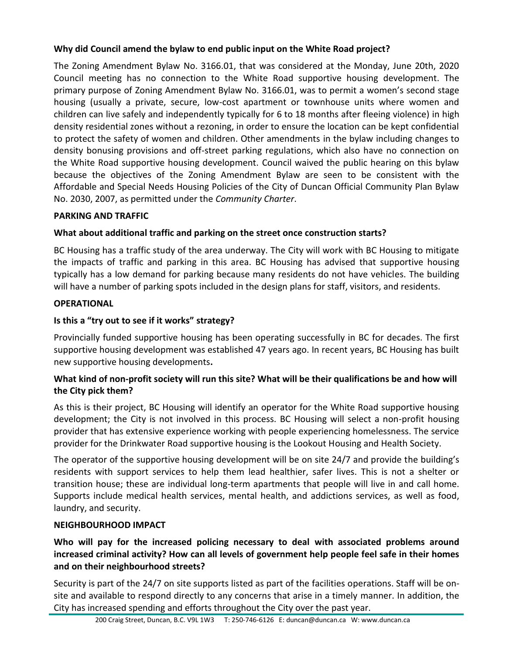## **Why did Council amend the bylaw to end public input on the White Road project?**

The Zoning Amendment Bylaw No. 3166.01, that was considered at the Monday, June 20th, 2020 Council meeting has no connection to the White Road supportive housing development. The primary purpose of Zoning Amendment Bylaw No. 3166.01, was to permit a women's second stage housing (usually a private, secure, low-cost apartment or townhouse units where women and children can live safely and independently typically for 6 to 18 months after fleeing violence) in high density residential zones without a rezoning, in order to ensure the location can be kept confidential to protect the safety of women and children. Other amendments in the bylaw including changes to density bonusing provisions and off-street parking regulations, which also have no connection on the White Road supportive housing development. Council waived the public hearing on this bylaw because the objectives of the Zoning Amendment Bylaw are seen to be consistent with the Affordable and Special Needs Housing Policies of the City of Duncan Official Community Plan Bylaw No. 2030, 2007, as permitted under the *Community Charter*.

## **PARKING AND TRAFFIC**

# **What about additional traffic and parking on the street once construction starts?**

BC Housing has a traffic study of the area underway. The City will work with BC Housing to mitigate the impacts of traffic and parking in this area. BC Housing has advised that supportive housing typically has a low demand for parking because many residents do not have vehicles. The building will have a number of parking spots included in the design plans for staff, visitors, and residents.

## **OPERATIONAL**

# **Is this a "try out to see if it works" strategy?**

Provincially funded supportive housing has been operating successfully in BC for decades. The first supportive housing development was established 47 years ago. In recent years, BC Housing has built new supportive housing developments**.** 

## **What kind of non-profit society will run this site? What will be their qualifications be and how will the City pick them?**

As this is their project, BC Housing will identify an operator for the White Road supportive housing development; the City is not involved in this process. BC Housing will select a non-profit housing provider that has extensive experience working with people experiencing homelessness. The service provider for the Drinkwater Road supportive housing is the Lookout Housing and Health Society.

The operator of the supportive housing development will be on site 24/7 and provide the building's residents with support services to help them lead healthier, safer lives. This is not a shelter or transition house; these are individual long-term apartments that people will live in and call home. Supports include medical health services, mental health, and addictions services, as well as food, laundry, and security.

# **NEIGHBOURHOOD IMPACT**

## **Who will pay for the increased policing necessary to deal with associated problems around increased criminal activity? How can all levels of government help people feel safe in their homes and on their neighbourhood streets?**

Security is part of the 24/7 on site supports listed as part of the facilities operations. Staff will be onsite and available to respond directly to any concerns that arise in a timely manner. In addition, the City has increased spending and efforts throughout the City over the past year.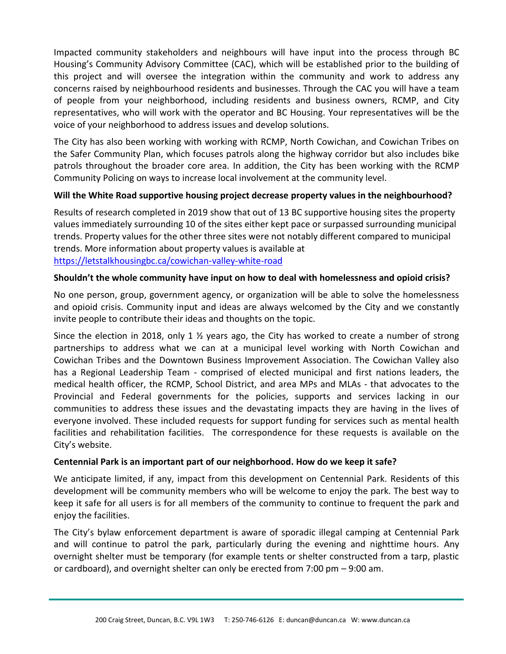Impacted community stakeholders and neighbours will have input into the process through BC Housing's Community Advisory Committee (CAC), which will be established prior to the building of this project and will oversee the integration within the community and work to address any concerns raised by neighbourhood residents and businesses. Through the CAC you will have a team of people from your neighborhood, including residents and business owners, RCMP, and City representatives, who will work with the operator and BC Housing. Your representatives will be the voice of your neighborhood to address issues and develop solutions.

The City has also been working with working with RCMP, North Cowichan, and Cowichan Tribes on the Safer Community Plan, which focuses patrols along the highway corridor but also includes bike patrols throughout the broader core area. In addition, the City has been working with the RCMP Community Policing on ways to increase local involvement at the community level.

### **Will the White Road supportive housing project decrease property values in the neighbourhood?**

Results of research completed in 2019 show that out of 13 BC supportive housing sites the property values immediately surrounding 10 of the sites either kept pace or surpassed surrounding municipal trends. Property values for the other three sites were not notably different compared to municipal trends. More information about property values is available at <https://letstalkhousingbc.ca/cowichan-valley-white-road>

### **Shouldn't the whole community have input on how to deal with homelessness and opioid crisis?**

No one person, group, government agency, or organization will be able to solve the homelessness and opioid crisis. Community input and ideas are always welcomed by the City and we constantly invite people to contribute their ideas and thoughts on the topic.

Since the election in 2018, only 1 ½ years ago, the City has worked to create a number of strong partnerships to address what we can at a municipal level working with North Cowichan and Cowichan Tribes and the Downtown Business Improvement Association. The Cowichan Valley also has a Regional Leadership Team - comprised of elected municipal and first nations leaders, the medical health officer, the RCMP, School District, and area MPs and MLAs - that advocates to the Provincial and Federal governments for the policies, supports and services lacking in our communities to address these issues and the devastating impacts they are having in the lives of everyone involved. These included requests for support funding for services such as mental health facilities and rehabilitation facilities. The correspondence for these requests is available on the City's website.

### **Centennial Park is an important part of our neighborhood. How do we keep it safe?**

We anticipate limited, if any, impact from this development on Centennial Park. Residents of this development will be community members who will be welcome to enjoy the park. The best way to keep it safe for all users is for all members of the community to continue to frequent the park and enjoy the facilities.

The City's bylaw enforcement department is aware of sporadic illegal camping at Centennial Park and will continue to patrol the park, particularly during the evening and nighttime hours. Any overnight shelter must be temporary (for example tents or shelter constructed from a tarp, plastic or cardboard), and overnight shelter can only be erected from 7:00 pm – 9:00 am.